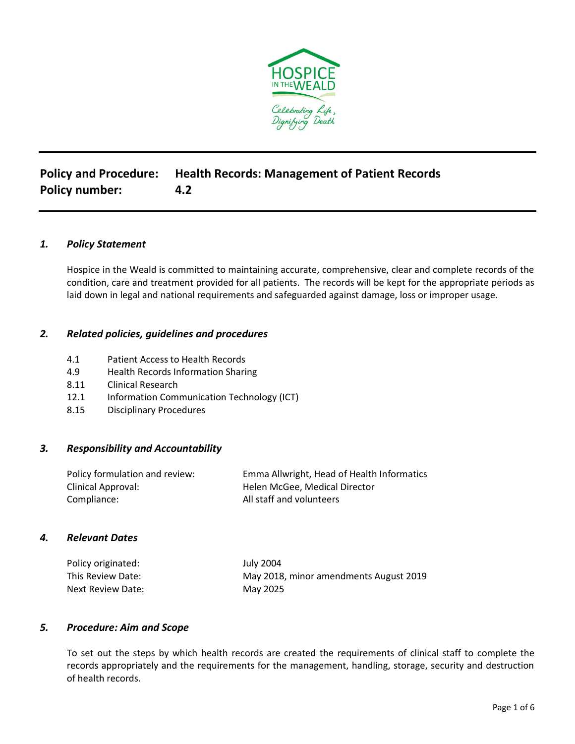

# **Policy and Procedure: Health Records: Management of Patient Records Policy number: 4.2**

# *1. Policy Statement*

Hospice in the Weald is committed to maintaining accurate, comprehensive, clear and complete records of the condition, care and treatment provided for all patients. The records will be kept for the appropriate periods as laid down in legal and national requirements and safeguarded against damage, loss or improper usage.

## *2. Related policies, guidelines and procedures*

- 4.1 Patient Access to Health Records
- 4.9 Health Records Information Sharing
- 8.11 Clinical Research
- 12.1 Information Communication Technology (ICT)
- 8.15 Disciplinary Procedures

# *3. Responsibility and Accountability*

| Policy formulation and review: | Emma Allwright, Head of Health Informatics |
|--------------------------------|--------------------------------------------|
| Clinical Approval:             | Helen McGee, Medical Director              |
| Compliance:                    | All staff and volunteers                   |

#### *4. Relevant Dates*

| Policy originated: | July 2004                              |
|--------------------|----------------------------------------|
| This Review Date:  | May 2018, minor amendments August 2019 |
| Next Review Date:  | May 2025                               |

#### *5. Procedure: Aim and Scope*

To set out the steps by which health records are created the requirements of clinical staff to complete the records appropriately and the requirements for the management, handling, storage, security and destruction of health records.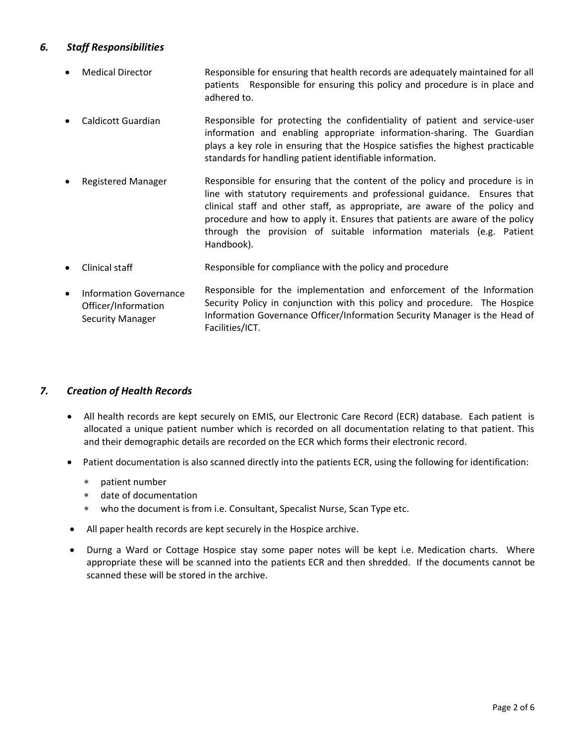# *6. Staff Responsibilities*

- Medical Director **Responsible for ensuring that health records are adequately maintained for all** patients Responsible for ensuring this policy and procedure is in place and adhered to.
- Caldicott Guardian Responsible for protecting the confidentiality of patient and service-user information and enabling appropriate information-sharing. The Guardian plays a key role in ensuring that the Hospice satisfies the highest practicable standards for handling patient identifiable information.
- Registered Manager Responsible for ensuring that the content of the policy and procedure is in line with statutory requirements and professional guidance. Ensures that clinical staff and other staff, as appropriate, are aware of the policy and procedure and how to apply it. Ensures that patients are aware of the policy through the provision of suitable information materials (e.g. Patient Handbook).
- Clinical staff Responsible for compliance with the policy and procedure
- Information Governance Officer/Information Security Manager Responsible for the implementation and enforcement of the Information Security Policy in conjunction with this policy and procedure. The Hospice Information Governance Officer/Information Security Manager is the Head of Facilities/ICT.

# *7. Creation of Health Records*

- All health records are kept securely on EMIS, our Electronic Care Record (ECR) database. Each patient is allocated a unique patient number which is recorded on all documentation relating to that patient. This and their demographic details are recorded on the ECR which forms their electronic record.
- Patient documentation is also scanned directly into the patients ECR, using the following for identification:
	- patient number
	- date of documentation
	- who the document is from i.e. Consultant, Specalist Nurse, Scan Type etc.
- All paper health records are kept securely in the Hospice archive.
- Durng a Ward or Cottage Hospice stay some paper notes will be kept i.e. Medication charts. Where appropriate these will be scanned into the patients ECR and then shredded. If the documents cannot be scanned these will be stored in the archive.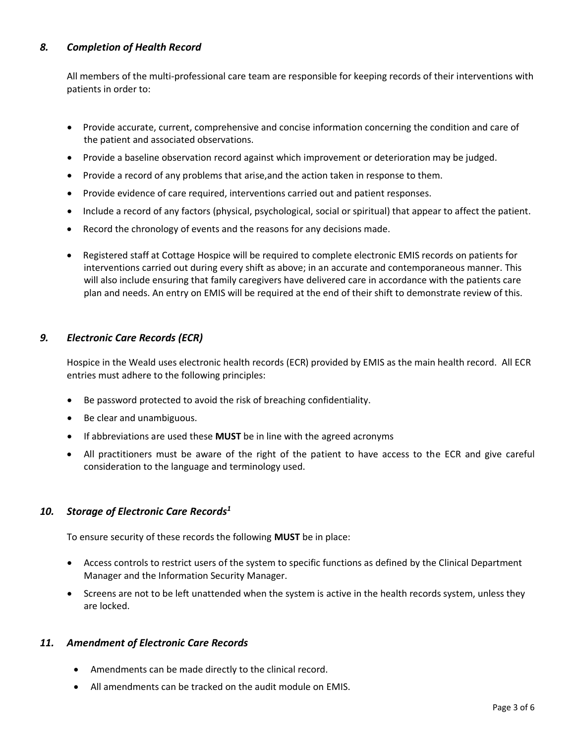# *8. Completion of Health Record*

All members of the multi-professional care team are responsible for keeping records of their interventions with patients in order to:

- Provide accurate, current, comprehensive and concise information concerning the condition and care of the patient and associated observations.
- Provide a baseline observation record against which improvement or deterioration may be judged.
- Provide a record of any problems that arise,and the action taken in response to them.
- Provide evidence of care required, interventions carried out and patient responses.
- Include a record of any factors (physical, psychological, social or spiritual) that appear to affect the patient.
- Record the chronology of events and the reasons for any decisions made.
- Registered staff at Cottage Hospice will be required to complete electronic EMIS records on patients for interventions carried out during every shift as above; in an accurate and contemporaneous manner. This will also include ensuring that family caregivers have delivered care in accordance with the patients care plan and needs. An entry on EMIS will be required at the end of their shift to demonstrate review of this.

## *9. Electronic Care Records (ECR)*

Hospice in the Weald uses electronic health records (ECR) provided by EMIS as the main health record. All ECR entries must adhere to the following principles:

- Be password protected to avoid the risk of breaching confidentiality.
- Be clear and unambiguous.
- If abbreviations are used these **MUST** be in line with the agreed acronyms
- All practitioners must be aware of the right of the patient to have access to the ECR and give careful consideration to the language and terminology used.

#### *10. Storage of Electronic Care Records<sup>1</sup>*

To ensure security of these records the following **MUST** be in place:

- Access controls to restrict users of the system to specific functions as defined by the Clinical Department Manager and the Information Security Manager.
- Screens are not to be left unattended when the system is active in the health records system, unless they are locked.

#### *11. Amendment of Electronic Care Records*

- Amendments can be made directly to the clinical record.
- All amendments can be tracked on the audit module on EMIS.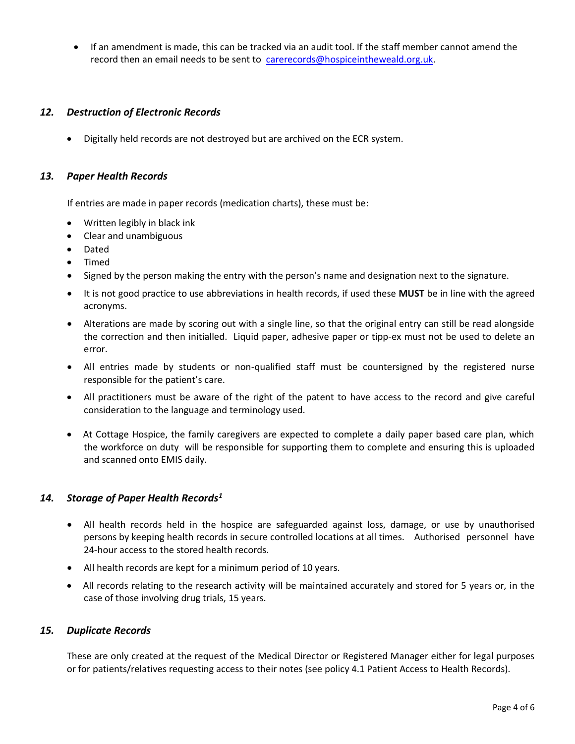• If an amendment is made, this can be tracked via an audit tool. If the staff member cannot amend the record then an email needs to be sent to [carerecords@hospiceintheweald.org.uk.](mailto:carerecords@hospiceintheweald.org.uk)

# *12. Destruction of Electronic Records*

• Digitally held records are not destroyed but are archived on the ECR system.

#### *13. Paper Health Records*

If entries are made in paper records (medication charts), these must be:

- Written legibly in black ink
- Clear and unambiguous
- Dated
- Timed
- Signed by the person making the entry with the person's name and designation next to the signature.
- It is not good practice to use abbreviations in health records, if used these **MUST** be in line with the agreed acronyms.
- Alterations are made by scoring out with a single line, so that the original entry can still be read alongside the correction and then initialled. Liquid paper, adhesive paper or tipp-ex must not be used to delete an error.
- All entries made by students or non-qualified staff must be countersigned by the registered nurse responsible for the patient's care.
- All practitioners must be aware of the right of the patent to have access to the record and give careful consideration to the language and terminology used.
- At Cottage Hospice, the family caregivers are expected to complete a daily paper based care plan, which the workforce on duty will be responsible for supporting them to complete and ensuring this is uploaded and scanned onto EMIS daily.

# *14. Storage of Paper Health Records<sup>1</sup>*

- All health records held in the hospice are safeguarded against loss, damage, or use by unauthorised persons by keeping health records in secure controlled locations at all times. Authorised personnel have 24-hour access to the stored health records.
- All health records are kept for a minimum period of 10 years.
- All records relating to the research activity will be maintained accurately and stored for 5 years or, in the case of those involving drug trials, 15 years.

#### *15. Duplicate Records*

These are only created at the request of the Medical Director or Registered Manager either for legal purposes or for patients/relatives requesting access to their notes (see policy 4.1 Patient Access to Health Records).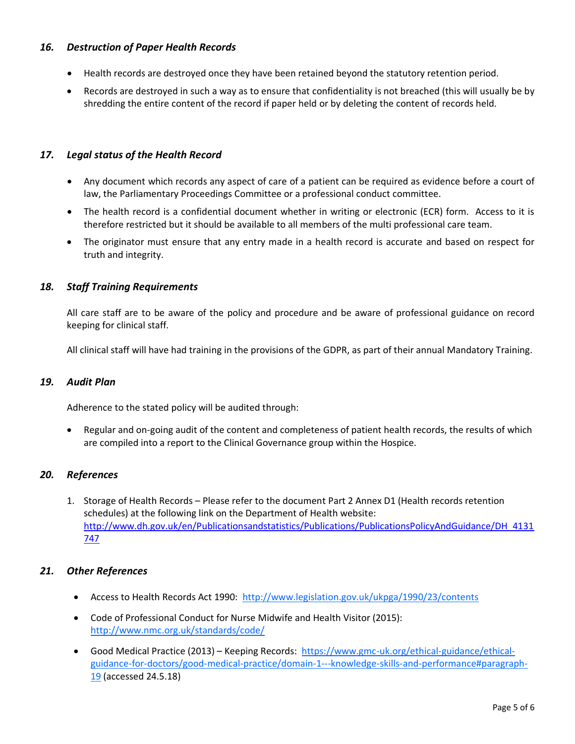# *16. Destruction of Paper Health Records*

- Health records are destroyed once they have been retained beyond the statutory retention period.
- Records are destroyed in such a way as to ensure that confidentiality is not breached (this will usually be by shredding the entire content of the record if paper held or by deleting the content of records held.

## *17. Legal status of the Health Record*

- Any document which records any aspect of care of a patient can be required as evidence before a court of law, the Parliamentary Proceedings Committee or a professional conduct committee.
- The health record is a confidential document whether in writing or electronic (ECR) form. Access to it is therefore restricted but it should be available to all members of the multi professional care team.
- The originator must ensure that any entry made in a health record is accurate and based on respect for truth and integrity.

## *18. Staff Training Requirements*

All care staff are to be aware of the policy and procedure and be aware of professional guidance on record keeping for clinical staff.

All clinical staff will have had training in the provisions of the GDPR, as part of their annual Mandatory Training.

#### *19. Audit Plan*

Adherence to the stated policy will be audited through:

• Regular and on-going audit of the content and completeness of patient health records, the results of which are compiled into a report to the Clinical Governance group within the Hospice.

# *20. References*

1. Storage of Health Records – Please refer to the document Part 2 Annex D1 (Health records retention schedules) at the following link on the Department of Health website: [http://www.dh.gov.uk/en/Publicationsandstatistics/Publications/PublicationsPolicyAndGuidance/DH\\_4131](http://www.dh.gov.uk/en/Publicationsandstatistics/Publications/PublicationsPolicyAndGuidance/DH_4131747) [747](http://www.dh.gov.uk/en/Publicationsandstatistics/Publications/PublicationsPolicyAndGuidance/DH_4131747)

#### *21. Other References*

- Access to Health Records Act 1990: <http://www.legislation.gov.uk/ukpga/1990/23/contents>
- Code of Professional Conduct for Nurse Midwife and Health Visitor (2015): <http://www.nmc.org.uk/standards/code/>
- Good Medical Practice (2013) Keeping Records: [https://www.gmc-uk.org/ethical-guidance/ethical](https://www.gmc-uk.org/ethical-guidance/ethical-guidance-for-doctors/good-medical-practice/domain-1---knowledge-skills-and-performance#paragraph-19)[guidance-for-doctors/good-medical-practice/domain-1---knowledge-skills-and-performance#paragraph-](https://www.gmc-uk.org/ethical-guidance/ethical-guidance-for-doctors/good-medical-practice/domain-1---knowledge-skills-and-performance#paragraph-19)[19](https://www.gmc-uk.org/ethical-guidance/ethical-guidance-for-doctors/good-medical-practice/domain-1---knowledge-skills-and-performance#paragraph-19) (accessed 24.5.18)